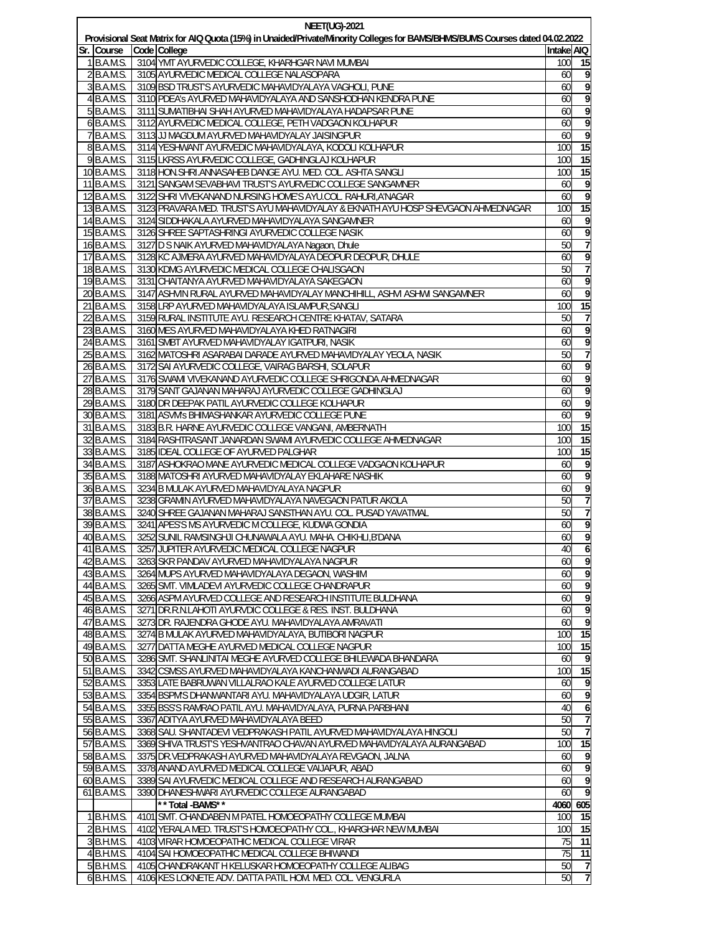| <b>NEET(UG)-2021</b> |              |  |                                                                                                                              |            |                 |  |  |  |  |  |
|----------------------|--------------|--|------------------------------------------------------------------------------------------------------------------------------|------------|-----------------|--|--|--|--|--|
|                      |              |  | Provisional Seat Matrix for AIQ Quota (15%) in Unaided/Private/Minority Colleges for BAMS/BHMS/BUMS Courses dated 04.02.2022 |            |                 |  |  |  |  |  |
| Sr.                  | Course       |  | Code College                                                                                                                 | Intake AIQ |                 |  |  |  |  |  |
|                      | 1 B.A.M.S    |  | 3104 YMT AYURVEDIC COLLEGE, KHARHGAR NAVI MUMBAI                                                                             | 100        | 15              |  |  |  |  |  |
|                      | 2 B.A.M.S.   |  | 3105 AYURVEDIC MEDICAL COLLEGE NALASOPARA                                                                                    | 60         |                 |  |  |  |  |  |
|                      | 3 B.A.M.S.   |  | 3109 BSD TRUST'S AYURVEDIC MAHAVIDYALAYA VAGHOLI, PUNE                                                                       | 60         |                 |  |  |  |  |  |
|                      | 4 B.A.M.S.   |  | 3110 PDEA's AYURVED MAHAVIDYALAYA AND SANSHODHAN KENDRA PUNE                                                                 | 60         |                 |  |  |  |  |  |
|                      | 5 B.A.M.S    |  | 3111 SUMATIBHAI SHAH AYURVED MAHAVIDYALAYA HADAPSAR PUNE                                                                     | 60         |                 |  |  |  |  |  |
|                      | 6 B.A.M.S.   |  | 3112 AYURVEDIC MEDICAL COLLEGE, PETH VADGAON KOLHAPUR                                                                        | 60         | 9               |  |  |  |  |  |
|                      | 7 B.A.M.S.   |  | 3113 JJ MAGDUM AYURVED MAHAVIDYALAY JAISINGPUR                                                                               | 60         |                 |  |  |  |  |  |
|                      | 8 B.A.M.S.   |  | 3114 YESHWANT AYURVEDIC MAHAVIDYALAYA, KODOLI KOLHAPUR                                                                       | 100        | 15              |  |  |  |  |  |
|                      | 9 B.A.M.S    |  | 3115 LKRSS AYURVEDIC COLLEGE, GADHINGLAJ KOLHAPUR                                                                            | 100        | $\overline{15}$ |  |  |  |  |  |
|                      | 10 B.A.M.S   |  | 3118 HON. SHRI. ANNASAHEB DANGE AYU. MED. COL. ASHTA SANGLI                                                                  | 100        | 15              |  |  |  |  |  |
|                      | 11 B.A.M.S.  |  | 3121 SANGAM SEVABHAVI TRUST'S AYURVEDIC COLLEGE SANGAMNER                                                                    | 60         | 9               |  |  |  |  |  |
|                      | 12 B.A.M.S   |  | 3122 SHRI VIVEKANAND NURSING HOME'S AYU.COL. RAHURI, A'NAGAR                                                                 | 60         |                 |  |  |  |  |  |
|                      | 13 B.A.M.S   |  | 3123 PRAVARA MED. TRUST'S AYU MAHAVIDYALAY & EKNATH AYU HOSP SHEVGAON AHMEDNAGAR                                             | 100        | 15              |  |  |  |  |  |
|                      | 14 B.A.M.S.  |  | 3124 SIDDHAKALA AYURVED MAHAVIDYALAYA SANGAMNER                                                                              | 60         | 9               |  |  |  |  |  |
|                      | 15 B.A.M.S   |  | 3126 SHREE SAPTASHRINGI AYURVEDIC COLLEGE NASIK                                                                              | 60         | 9               |  |  |  |  |  |
|                      | 16 B.A.M.S.  |  | 3127 D S NAIK AYURVED MAHAVIDYALAYA Nagaon, Dhule                                                                            | 50         |                 |  |  |  |  |  |
|                      | 17 B.A.M.S.  |  | 3128 KC AJMERA AYURVED MAHAVIDYALAYA DEOPUR DEOPUR, DHULE                                                                    | 60         | 9               |  |  |  |  |  |
|                      | 18 B.A.M.S.  |  | 3130 KDMG AYURVEDIC MEDICAL COLLEGE CHALISGAON                                                                               | 50         |                 |  |  |  |  |  |
|                      | 19 B.A.M.S   |  | 3131 CHAITANYA AYURVED MAHAVIDYALAYA SAKEGAON                                                                                | 60         | 9               |  |  |  |  |  |
|                      | 20 B.A.M.S.  |  | 3147 ASHVIN RURAL AYURVED MAHAVIDYALAY MANCHIHILL, ASHVI ASHWI SANGAMNER                                                     | 60         | 9               |  |  |  |  |  |
|                      | 21 B.A.M.S.  |  | 3158 LRP AYURVED MAHAVIDYALAYA ISLAMPUR, SANGLI                                                                              | 100        | 15              |  |  |  |  |  |
|                      | 22 B.A.M.S.  |  | 3159 RURAL INSTITUTE AYU. RESEARCH CENTRE KHATAV, SATARA                                                                     | 50         |                 |  |  |  |  |  |
|                      | 23 B.A.M.S.  |  | 3160 MES AYURVED MAHAVIDYALAYA KHED RATNAGIRI                                                                                | 60         |                 |  |  |  |  |  |
|                      | 24 B.A.M.S.  |  | 3161 SMBT AYURVED MAHAVIDYALAY IGATPURI, NASIK                                                                               | 60         | 9               |  |  |  |  |  |
|                      | 25 B.A.M.S.  |  | 3162 MATOSHRI ASARABAI DARADE AYURVED MAHAVIDYALAY YEOLA, NASIK                                                              | 50         |                 |  |  |  |  |  |
|                      | 26 B.A.M.S   |  | 3172 SAI AYURVEDIC COLLEGE, VAIRAG BARSHI, SOLAPUR                                                                           | 60         | 9               |  |  |  |  |  |
|                      | 27 B.A.M.S.  |  | 3176 SWAMI VIVEKANAND AYURVEDIC COLLEGE SHRIGONDA AHMEDNAGAR                                                                 | 60         | 9               |  |  |  |  |  |
|                      | 28 B.A.M.S.  |  | 3179 SANT GAJANAN MAHARAJ AYURVEDIC COLLEGE GADHINGLAJ                                                                       | 60         |                 |  |  |  |  |  |
|                      | 29 B.A.M.S.  |  | 3180 DR DEEPAK PATIL AYURVEDIC COLLEGE KOLHAPUR                                                                              | 60         | 9               |  |  |  |  |  |
|                      | 30 B.A.M.S   |  | 3181 ASVM's BHIMASHANKAR AYURVEDIC COLLEGE PUNE                                                                              | 60         |                 |  |  |  |  |  |
|                      | 31 B.A.M.S.  |  | 3183 B.R. HARNE AYURVEDIC COLLEGE VANGANI, AMBERNATH                                                                         | 100        | $\overline{15}$ |  |  |  |  |  |
|                      | 32 B.A.M.S.  |  | 3184 RASHTRASANT JANARDAN SWAMI AYURVEDIC COLLEGE AHMEDNAGAR                                                                 | 100        | 15              |  |  |  |  |  |
|                      | 33 B.A.M.S.  |  | 3185 IDEAL COLLEGE OF AYURVED PALGHAR                                                                                        | 100        | 15              |  |  |  |  |  |
|                      | 34 B.A.M.S.  |  | 3187 ASHOKRAO MANE AYURVEDIC MEDICAL COLLEGE VADGAON KOLHAPUR                                                                | 60         |                 |  |  |  |  |  |
|                      | 35 B.A.M.S   |  | 3188 MATOSHRI AYURVED MAHAVIDYALAY EKLAHARE NASHIK                                                                           | 60         |                 |  |  |  |  |  |
|                      | 36 B.A.M.S.  |  | 3234 B MULAK AYURVED MAHAVIDYALAYA NAGPUR                                                                                    | 60         | 9               |  |  |  |  |  |
|                      | 37 B.A.M.S.  |  | 3238 GRAMIN AYURVED MAHAVIDYALAYA NAVEGAON PATUR AKOLA                                                                       | 50         |                 |  |  |  |  |  |
|                      | 38 B.A.M.S.  |  | 3240 SHREE GAJANAN MAHARAJ SANSTHAN AYU, COL. PUSAD YAVATMAL                                                                 | 50         |                 |  |  |  |  |  |
|                      | 39 B.A.M.S.  |  | 3241 APES'S MS AYURVEDIC M COLLEGE, KUDWA GONDIA                                                                             | 60         | 9               |  |  |  |  |  |
|                      | 40 B.A.M.S.  |  | 3252 SUNIL RAMSINGHJI CHUNAWALA AYU. MAHA. CHIKHLI, B'DANA                                                                   | 60         | 9               |  |  |  |  |  |
|                      | 41 B.A.M.S.  |  | 3257 JUPITER AYURVEDIC MEDICAL COLLEGE NAGPUR                                                                                | 40         |                 |  |  |  |  |  |
|                      | 42 B.A.M.S.  |  | 3263 SKR PANDAV AYURVED MAHAVIDYALAYA NAGPUR                                                                                 | 60         | 9               |  |  |  |  |  |
|                      | 43 B.A.M.S.  |  | 3264 MUPS AYURVED MAHAVIDYALAYA DEGAON, WASHIM                                                                               | 60         | 9               |  |  |  |  |  |
|                      | 44 B.A.M.S.  |  | 3265 SMT. VIMLADEVI AYURVEDIC COLLEGE CHANDRAPUR                                                                             | 60         | 9               |  |  |  |  |  |
|                      | 45 B.A.M.S.  |  | 3266 ASPM AYURVED COLLEGE AND RESEARCH INSTITUTE BULDHANA                                                                    | 60         | 9               |  |  |  |  |  |
|                      | 46 B.A.M.S.  |  | 3271 DR.R.N.LAHOTI AYURVDIC COLLEGE & RES. INST. BULDHANA                                                                    | 60         | 9               |  |  |  |  |  |
|                      | 47 B.A.M.S.  |  | 3273 DR. RAJENDRA GHODE AYU. MAHAVIDYALAYA AMRAVATI                                                                          | 60         | 9               |  |  |  |  |  |
|                      | 48 B.A.M.S.  |  | 3274 B MULAK AYURVED MAHAVIDYALAYA, BUTIBORI NAGPUR                                                                          | 100        | 15              |  |  |  |  |  |
|                      | 49 B.A.M.S.  |  | 3277 DATTA MEGHE AYURVED MEDICAL COLLEGE NAGPUR                                                                              | 100        | 15              |  |  |  |  |  |
|                      | 50 B.A.M.S.  |  | 3286 SMT. SHANLINITAI MEGHE AYURVED COLLEGE BHILEWADA BHANDARA                                                               | 60         | 9               |  |  |  |  |  |
|                      | 51 B.A.M.S.  |  | 3342 CSMSS AYURVED MAHAVIDYALAYA KANCHANWADI AURANGABAD                                                                      | 100        | 15              |  |  |  |  |  |
|                      | 52 B.A.M.S.  |  | 3353 LATE BABRUWAN VILLALRAO KALE AYURVED COLLEGE LATUR                                                                      | 60         | 9               |  |  |  |  |  |
|                      | 53 B.A.M.S.  |  | 3354 BSPM'S DHANWANTARI AYU. MAHAVIDYALAYA UDGIR, LATUR                                                                      | 60         | 9               |  |  |  |  |  |
|                      | 54 B.A.M.S.  |  | 3355 BSS'S RAMRAO PATIL AYU. MAHAVIDYALAYA, PURNA PARBHANI                                                                   | 40         | 6               |  |  |  |  |  |
|                      | 55 B.A.M.S.  |  | 3367 ADITYA AYURVED MAHAVIDYALAYA BEED                                                                                       | 50         | $\overline{7}$  |  |  |  |  |  |
|                      | 56 B.A.M.S.  |  | 3368 SAU. SHANTADEVI VEDPRAKASH PATIL AYURVED MAHAVIDYALAYA HINGOLI                                                          | 50         | $\overline{7}$  |  |  |  |  |  |
|                      | 57 B.A.M.S.  |  | 3369 SHIVA TRUST'S YESHVANTRAO CHAVAN AYURVED MAHAVIDYALAYA AURANGABAD                                                       | 100        | 15              |  |  |  |  |  |
|                      | 58 B.A.M.S.  |  | 3375 DR. VEDPRAKASH AYURVED MAHAVIDYALAYA REVGAON, JALNA                                                                     | 60         | 9               |  |  |  |  |  |
|                      | 59 B.A.M.S.  |  | 3378 ANAND AYURVED MEDICAL COLLEGE VAIJAPUR, ABAD                                                                            | 60         | 9               |  |  |  |  |  |
|                      | 60 B.A.M.S.  |  | 3389 SAI AYURVEDIC MEDICAL COLLEGE AND RESEARCH AURANGABAD                                                                   | 60         | 9               |  |  |  |  |  |
|                      | 61 B.A.M.S.  |  | 3390 DHANESHWARI AYURVEDIC COLLEGE AURANGABAD                                                                                | 60         | 9               |  |  |  |  |  |
|                      |              |  | * * Total -BAMS* *                                                                                                           | 4060 605   |                 |  |  |  |  |  |
|                      | 1 B.H.M.S.   |  | 4101 SMT. CHANDABEN M PATEL HOMOEOPATHY COLLEGE MUMBAI                                                                       | 100        | 15              |  |  |  |  |  |
|                      | 2 B.H.M.S.   |  | 4102 YERALA MED. TRUST'S HOMOEOPATHY COL., KHARGHAR NEW MUMBAI                                                               | 100        | 15              |  |  |  |  |  |
|                      | $3$ B.H.M.S. |  | 4103 VIRAR HOMOEOPATHIC MEDICAL COLLEGE VIRAR                                                                                | 75         | 11              |  |  |  |  |  |
|                      | 4 B.H.M.S.   |  | 4104 SAI HOMOEOPATHIC MEDICAL COLLEGE BHIWANDI                                                                               | 75         | $\overline{11}$ |  |  |  |  |  |
|                      | 5 B.H.M.S.   |  | 4105 CHANDRAKANT H KELUSKAR HOMOEOPATHY COLLEGE ALIBAG                                                                       | 50         | $\overline{7}$  |  |  |  |  |  |
|                      | 6 B.H.M.S.   |  | 4106 KES LOKNETE ADV. DATTA PATIL HOM. MED. COL. VENGURLA                                                                    | 50         | $\overline{7}$  |  |  |  |  |  |